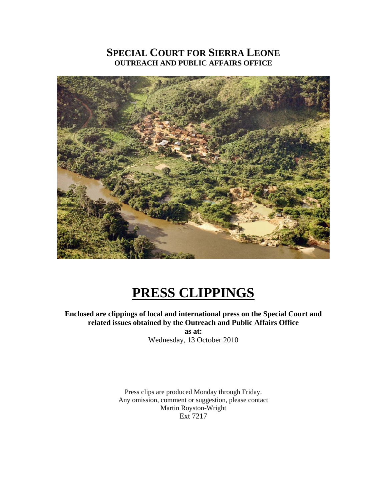## **SPECIAL COURT FOR SIERRA LEONE OUTREACH AND PUBLIC AFFAIRS OFFICE**



# **PRESS CLIPPINGS**

## **Enclosed are clippings of local and international press on the Special Court and related issues obtained by the Outreach and Public Affairs Office**

**as at:**  Wednesday, 13 October 2010

Press clips are produced Monday through Friday. Any omission, comment or suggestion, please contact Martin Royston-Wright Ext 7217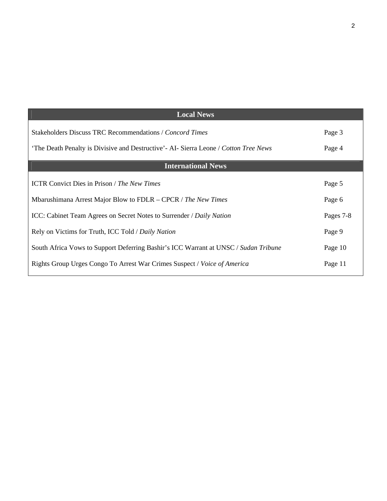| <b>Local News</b>                                                                     |           |
|---------------------------------------------------------------------------------------|-----------|
| Stakeholders Discuss TRC Recommendations / Concord Times                              | Page 3    |
| 'The Death Penalty is Divisive and Destructive' - AI- Sierra Leone / Cotton Tree News | Page 4    |
| <b>International News</b>                                                             |           |
| <b>ICTR Convict Dies in Prison / The New Times</b>                                    | Page 5    |
| Mbarushimana Arrest Major Blow to FDLR – CPCR / The New Times                         | Page 6    |
| ICC: Cabinet Team Agrees on Secret Notes to Surrender / Daily Nation                  | Pages 7-8 |
| Rely on Victims for Truth, ICC Told / Daily Nation                                    | Page 9    |
| South Africa Vows to Support Deferring Bashir's ICC Warrant at UNSC / Sudan Tribune   | Page 10   |
| Rights Group Urges Congo To Arrest War Crimes Suspect / Voice of America              | Page 11   |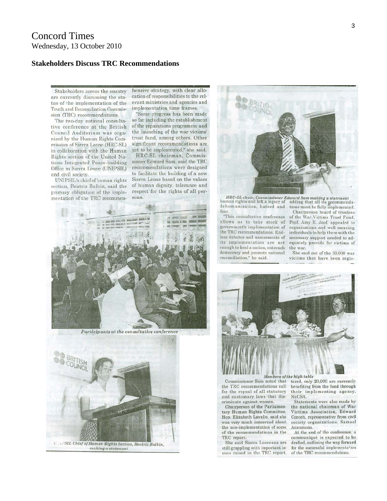#### **Stakeholders Discuss TRC Recommendations**

Stakeholders across the country are currently discussing the status of the implementation of the Truth and Reconciliation Commission (TRC) recommendations.

The two-day national consultative conference at the British Council Auditorium was organized by the Human Rights Commission of Sierra Leone (HRC-SL) in collaboration with the Human Rights section of the United Nations Integrated Peace-building Office in Sierra Leone (UNIPSIL) and civil society.

UNIPSIL's chief of human rights section, Beatriz Balbin, said the primary obligation of the implementation of the TRC recommenhensive strategy, with clear allocation of responsibilities to the relevant ministries and agencies and implementation time frames.

"Some progress has been made so far including the establishment of the reparations programme and the launching of the war victims' trust fund, among others. Other significant recommendations are yet to be implemented," she said.

HRC-SL chairman, Commissioner Edward Sam, said the TRC recommendations were designed to facilitate the building of a new Sierra Leone based on the values of human dignity, tolerance and respect for the rights of all persons.



Participants at the consultative conference





 $\emph{HRC-SL chain}, \emph{Commissioner Edward Sam making a statement} \emph{human rights and left a legacy of adding that all its geometrical elements.}$ dehumanization, hatred and fear

"This consultative conference allows us to take stock of government's implementation of the TRC recommendations. Endless debates and assessments of its implementation are not enough to heal a nation, entrench democracy and promote national reconciliation," he said.

tions must be fully implemented.

Chairperson board of trustees of the War Victims Trust Fund, Prof. Amy E. Joof, appealed to organizations and well meaning individuals to help them with the necessary support needed to adequately provide for victims of the war.

She said out of the 30,000 war victims that have been regis-



Commissioner Sam noted that the TRC recommendations call for the repeal of all statutory and customary laws that discriminate against women.

Chairperson of the Parliamentary Human Rights Committee, Hon. Elizabeth Lavalie, said she was very much concerned about the non-implementation of some of the recommendations in the TRC report.

She said Sierra Leoneans are still grappling with important issues raised in the TRC report,

tered, only 20,000 are currently benefiting from the fund through their implementing agency, NaCSA.

Statements were also made by the national chairman of War Victims Association, Edward Conteh, representative from civil society organizations, Samuel Ansumana

At the end of the conference, a communiqué is expected to be drafted, outlining the way forward for the successful implementation of the TRC recommendations.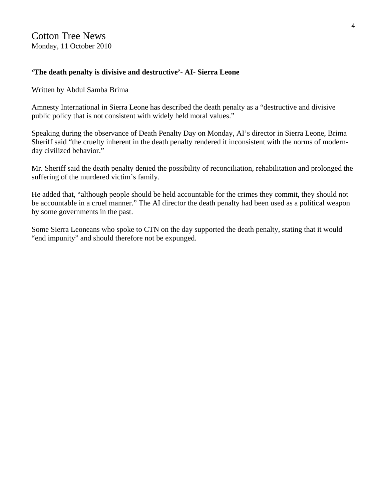## **'The death penalty is divisive and destructive'- AI- Sierra Leone**

Written by Abdul Samba Brima

Amnesty International in Sierra Leone has described the death penalty as a "destructive and divisive public policy that is not consistent with widely held moral values."

Speaking during the observance of Death Penalty Day on Monday, AI's director in Sierra Leone, Brima Sheriff said "the cruelty inherent in the death penalty rendered it inconsistent with the norms of modernday civilized behavior."

Mr. Sheriff said the death penalty denied the possibility of reconciliation, rehabilitation and prolonged the suffering of the murdered victim's family.

He added that, "although people should be held accountable for the crimes they commit, they should not be accountable in a cruel manner." The AI director the death penalty had been used as a political weapon by some governments in the past.

Some Sierra Leoneans who spoke to CTN on the day supported the death penalty, stating that it would "end impunity" and should therefore not be expunged.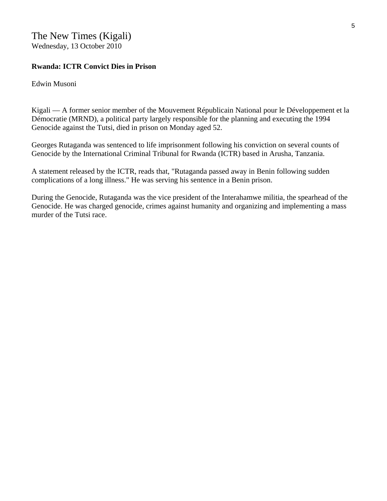## **Rwanda: ICTR Convict Dies in Prison**

Edwin Musoni

Kigali — A former senior member of the Mouvement Républicain National pour le Développement et la Démocratie (MRND), a political party largely responsible for the planning and executing the 1994 Genocide against the Tutsi, died in prison on Monday aged 52.

Georges Rutaganda was sentenced to life imprisonment following his conviction on several counts of Genocide by the International Criminal Tribunal for Rwanda (ICTR) based in Arusha, Tanzania.

A statement released by the ICTR, reads that, "Rutaganda passed away in Benin following sudden complications of a long illness." He was serving his sentence in a Benin prison.

During the Genocide, Rutaganda was the vice president of the Interahamwe militia, the spearhead of the Genocide. He was charged genocide, crimes against humanity and organizing and implementing a mass murder of the Tutsi race.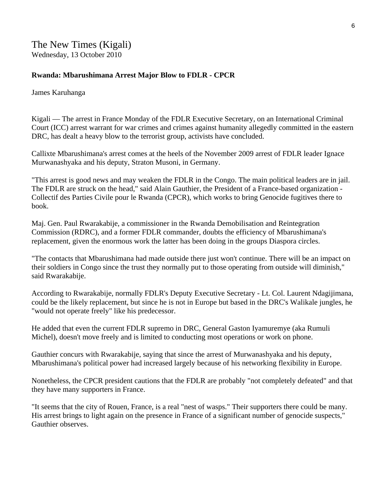## **Rwanda: Mbarushimana Arrest Major Blow to FDLR - CPCR**

James Karuhanga

Kigali — The arrest in France Monday of the FDLR Executive Secretary, on an International Criminal Court (ICC) arrest warrant for war crimes and crimes against humanity allegedly committed in the eastern DRC, has dealt a heavy blow to the terrorist group, activists have concluded.

Callixte Mbarushimana's arrest comes at the heels of the November 2009 arrest of FDLR leader Ignace Murwanashyaka and his deputy, Straton Musoni, in Germany.

"This arrest is good news and may weaken the FDLR in the Congo. The main political leaders are in jail. The FDLR are struck on the head," said Alain Gauthier, the President of a France-based organization - Collectif des Parties Civile pour le Rwanda (CPCR), which works to bring Genocide fugitives there to book.

Maj. Gen. Paul Rwarakabije, a commissioner in the Rwanda Demobilisation and Reintegration Commission (RDRC), and a former FDLR commander, doubts the efficiency of Mbarushimana's replacement, given the enormous work the latter has been doing in the groups Diaspora circles.

"The contacts that Mbarushimana had made outside there just won't continue. There will be an impact on their soldiers in Congo since the trust they normally put to those operating from outside will diminish," said Rwarakabije.

According to Rwarakabije, normally FDLR's Deputy Executive Secretary - Lt. Col. Laurent Ndagijimana, could be the likely replacement, but since he is not in Europe but based in the DRC's Walikale jungles, he "would not operate freely" like his predecessor.

He added that even the current FDLR supremo in DRC, General Gaston Iyamuremye (aka Rumuli Michel), doesn't move freely and is limited to conducting most operations or work on phone.

Gauthier concurs with Rwarakabije, saying that since the arrest of Murwanashyaka and his deputy, Mbarushimana's political power had increased largely because of his networking flexibility in Europe.

Nonetheless, the CPCR president cautions that the FDLR are probably "not completely defeated" and that they have many supporters in France.

"It seems that the city of Rouen, France, is a real "nest of wasps." Their supporters there could be many. His arrest brings to light again on the presence in France of a significant number of genocide suspects," Gauthier observes.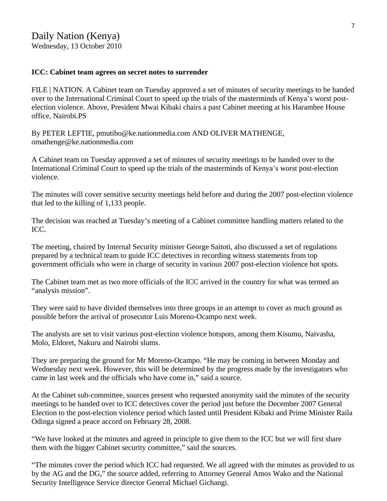#### **ICC: Cabinet team agrees on secret notes to surrender**

FILE | NATION. A Cabinet team on Tuesday approved a set of minutes of security meetings to be handed over to the International Criminal Court to speed up the trials of the masterminds of Kenya's worst postelection violence. Above, President Mwai Kibaki chairs a past Cabinet meeting at his Harambee House office, Nairobi.PS

By PETER LEFTIE, pmutibo@ke.nationmedia.com AND OLIVER MATHENGE, [omathenge@ke.nationmedia.com](mailto:omathenge@ke.nationmedia.com) 

A Cabinet team on Tuesday approved a set of minutes of security meetings to be handed over to the International Criminal Court to speed up the trials of the masterminds of Kenya's worst post-election violence.

The minutes will cover sensitive security meetings held before and during the 2007 post-election violence that led to the killing of 1,133 people.

The decision was reached at Tuesday's meeting of a Cabinet committee handling matters related to the ICC.

The meeting, chaired by Internal Security minister George Saitoti, also discussed a set of regulations prepared by a technical team to guide ICC detectives in recording witness statements from top government officials who were in charge of security in various 2007 post-election violence hot spots.

The Cabinet team met as two more officials of the ICC arrived in the country for what was termed an "analysis mission".

They were said to have divided themselves into three groups in an attempt to cover as much ground as possible before the arrival of prosecutor Luis Moreno-Ocampo next week.

The analysts are set to visit various post-election violence hotspots, among them Kisumu, Naivasha, Molo, Eldoret, Nakuru and Nairobi slums.

They are preparing the ground for Mr Moreno-Ocampo. "He may be coming in between Monday and Wednesday next week. However, this will be determined by the progress made by the investigators who came in last week and the officials who have come in," said a source.

At the Cabinet sub-committee, sources present who requested anonymity said the minutes of the security meetings to be handed over to ICC detectives cover the period just before the December 2007 General Election to the post-election violence period which lasted until President Kibaki and Prime Minister Raila Odinga signed a peace accord on February 28, 2008.

"We have looked at the minutes and agreed in principle to give them to the ICC but we will first share them with the bigger Cabinet security committee," said the sources.

"The minutes cover the period which ICC had requested. We all agreed with the minutes as provided to us by the AG and the DG," the source added, referring to Attorney General Amos Wako and the National Security Intelligence Service director General Michael Gichangi.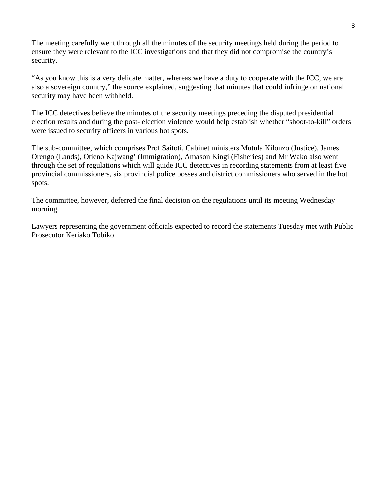The meeting carefully went through all the minutes of the security meetings held during the period to ensure they were relevant to the ICC investigations and that they did not compromise the country's security.

"As you know this is a very delicate matter, whereas we have a duty to cooperate with the ICC, we are also a sovereign country," the source explained, suggesting that minutes that could infringe on national security may have been withheld.

The ICC detectives believe the minutes of the security meetings preceding the disputed presidential election results and during the post- election violence would help establish whether "shoot-to-kill" orders were issued to security officers in various hot spots.

The sub-committee, which comprises Prof Saitoti, Cabinet ministers Mutula Kilonzo (Justice), James Orengo (Lands), Otieno Kajwang' (Immigration), Amason Kingi (Fisheries) and Mr Wako also went through the set of regulations which will guide ICC detectives in recording statements from at least five provincial commissioners, six provincial police bosses and district commissioners who served in the hot spots.

The committee, however, deferred the final decision on the regulations until its meeting Wednesday morning.

Lawyers representing the government officials expected to record the statements Tuesday met with Public Prosecutor Keriako Tobiko.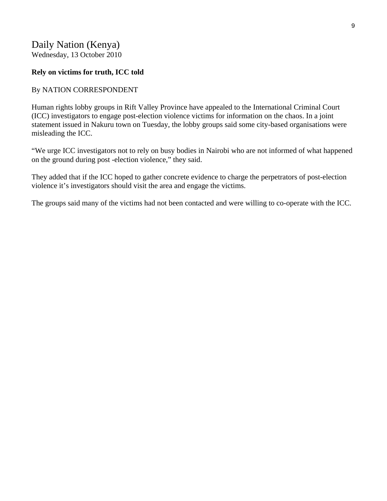#### **Rely on victims for truth, ICC told**

#### By NATION CORRESPONDENT

Human rights lobby groups in Rift Valley Province have appealed to the International Criminal Court (ICC) investigators to engage post-election violence victims for information on the chaos. In a joint statement issued in Nakuru town on Tuesday, the lobby groups said some city-based organisations were misleading the ICC.

"We urge ICC investigators not to rely on busy bodies in Nairobi who are not informed of what happened on the ground during post -election violence," they said.

They added that if the ICC hoped to gather concrete evidence to charge the perpetrators of post-election violence it's investigators should visit the area and engage the victims.

The groups said many of the victims had not been contacted and were willing to co-operate with the ICC.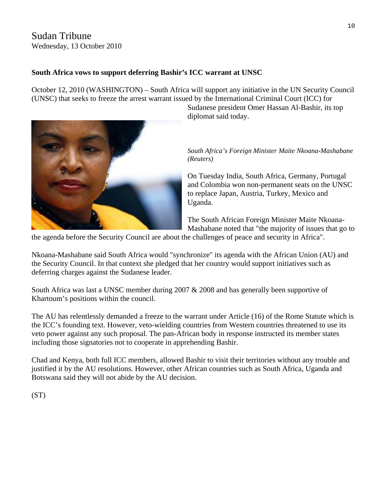## Sudan Tribune Wednesday, 13 October 2010

## **South Africa vows to support deferring Bashir's ICC warrant at UNSC**

October 12, 2010 (WASHINGTON) – South Africa will support any initiative in the UN Security Council (UNSC) that seeks to freeze the arrest warrant issued by the International Criminal Court (ICC) for



Sudanese president Omer Hassan Al-Bashir, its top diplomat said today.

*South Africa's Foreign Minister Maite Nkoana-Mashabane (Reuters)*

On Tuesday India, South Africa, Germany, Portugal and Colombia won non-permanent seats on the UNSC to replace Japan, Austria, Turkey, Mexico and Uganda.

Mashabane noted that "the majority of issues that go to The South African Foreign Minister Maite Nkoana-

the agenda before the Security Council are about the challenges of peace and security in Africa".

Nkoana-Mashabane said South Africa would "synchronize" its agenda with the African Union (AU) and the Security Council. In that context she pledged that her country would support initiatives such as deferring charges against the Sudanese leader.

South Africa was last a UNSC member during 2007 & 2008 and has generally been supportive of Khartoum's positions within the council.

The AU has relentlessly demanded a freeze to the warrant under Article (16) of the Rome Statute which is the ICC's founding text. However, veto-wielding countries from Western countries threatened to use its veto power against any such proposal. The pan-African body in response instructed its member states including those signatories not to cooperate in apprehending Bashir.

Chad and Kenya, both full ICC members, allowed Bashir to visit their territories without any trouble and justified it by the AU resolutions. However, other African countries such as South Africa, Uganda and Botswana said they will not abide by the AU decision.

(ST)